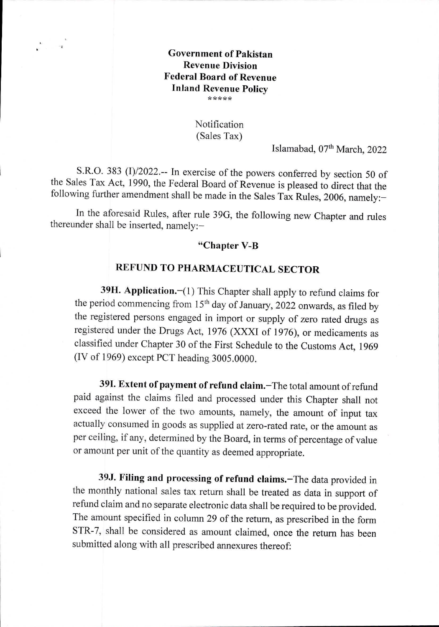## **Government of Pakistan Revenue Division Federal Board of Revenue Inland Revenue Policy \*\*\*\*\***

## Notification (Sales Tax)

Islamabad, 07<sup>th</sup> March, 2022

S.R.O. 383 (1)/2022.-- In exercise of the powers conferred by section 50 of the Sales Tax Act, 1990, the Federal Board of Revenue is pleased to direct that the following further amendment shall be made in the Sales Tax Rules, 2006, namely:—

In the aforesaid Rules, after rule 39G, the following new Chapter and rules thereunder shall be inserted, namely:—

## **"Chapter V-B**

## **REFUND TO PHARMACEUTICAL SECTOR**

**39H. Application.—(1)** This Chapter shall apply to refund claims for the period commencing from 15<sup>th</sup> day of January, 2022 onwards, as filed by the registered persons engaged in import or supply of zero rated drugs as registered under the Drugs Act, 1976 (XXXI of 1976), or medicaments as classified under Chapter 30 of the First Schedule to the Customs Act, 1969 (IV of 1969) except PCT heading 3005.0000.

**391. Extent of payment of refund claim.—The** total amount of refund paid against the claims filed and processed under this Chapter shall not exceed the lower of the two amounts, namely, the amount of input tax actually consumed in goods as supplied at zero-rated rate, or the amount as per ceiling, if any, determined by the Board, in terms of percentage of value or amount per unit of the quantity as deemed appropriate.

**39J. Filing and processing of refund claims.—The** data provided in the monthly national sales tax return shall be treated as data in support of refimd claim and no separate electronic data shall be required to be provided. The amount specified in column 29 of the return, as prescribed in the form STR-7, shall be considered as amount claimed, once the return has been submitted along with all prescribed annexures thereof: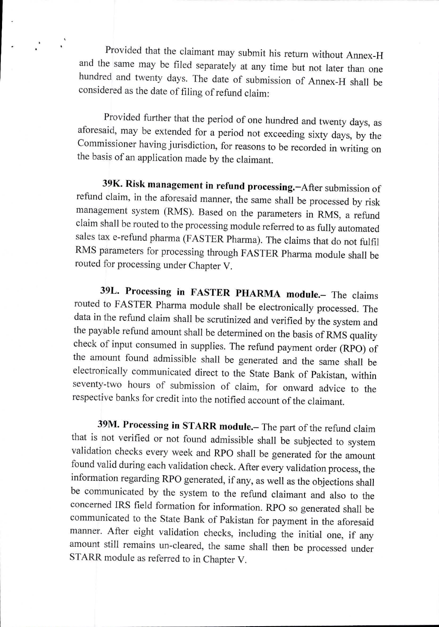Provided that the claimant may submit his return without Annex-H and the same may be filed separately at any time but not later than one hundred and twenty days. The date of submission of Annex-H shall be considered as the date of filing of refund claim:

Provided further that the period of one hundred and twenty days, as aforesaid, may be extended for a period not exceeding sixty days, by the Commissioner having jurisdiction, for reasons to be recorded in writing on the basis of an application made by the claimant.

39K. Risk management in refund processing. - After submission of refund claim, in the aforesaid manner, the same shall be processed by risk management system (RMS). Based on the parameters in RMS, a refund claim shall be routed to the processing module referred to as fully automated sales tax e-refund pharma (FASTER Pharma). The claims that do not fulfil RMS parameters for processing through FASTER Pharma module shall be routed for processing under Chapter V.

**Processing in FASTER PHARMA module.—** The claims routed to FASTER Pharma module shall be electronically processed. The data in the refund claim shall be scrutinized and verified by the system and the payable refund amount shall be determined on the basis of RMS quality check of input consumed in supplies. The refund payment order (RPO) of the amount found admissible shall be generated and the same shall be electronically communicated direct to the State Bank of Pakistan, within seventy-two hours of submission of claim, for onward advice to the respective banks for credit into the notified account of the claimant.

39M. Processing in STARR module.- The part of the refund claim that is not verified or not found admissible shall be subjected to system validation checks every week and RPO shall be generated for the amount found valid during each validation check. After every validation process, the information regarding RPO generated, if any, as well as the objections shall be communicated by the system to the refund claimant and also to the concerned IRS field formation for information. RPO so generated shall be communicated to the State Bank of Pakistan for payment in the aforesaid manner. After eight validation checks, including the initial one, if any amount still remains un-cleared, the same shall then be processed under STARR module as referred to in Chapter V.